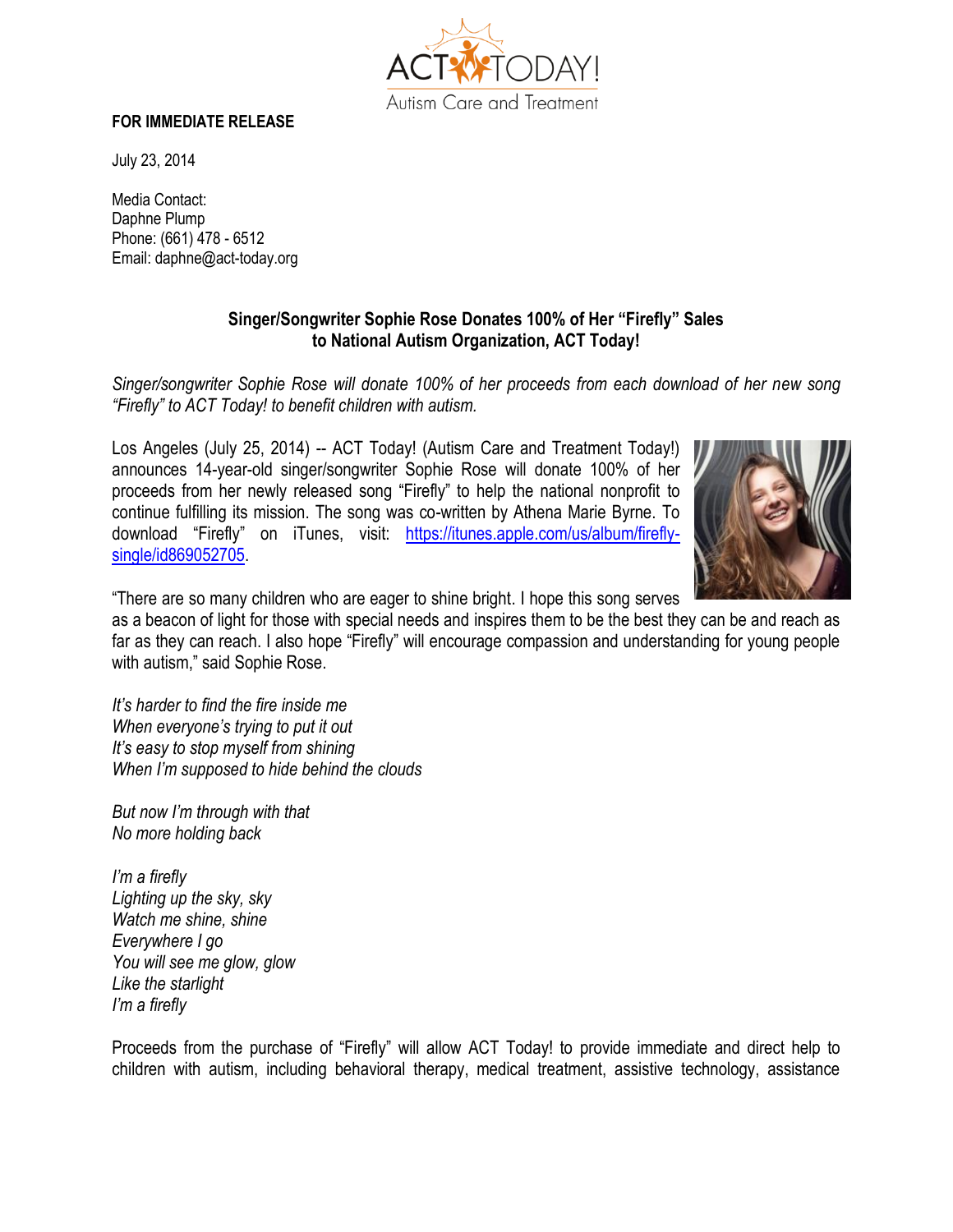

## **FOR IMMEDIATE RELEASE**

July 23, 2014

Media Contact: Daphne Plump Phone: (661) 478 - 6512 Email: daphne@act-today.org

## **Singer/Songwriter Sophie Rose Donates 100% of Her "Firefly" Sales to National Autism Organization, ACT Today!**

*Singer/songwriter Sophie Rose will donate 100% of her proceeds from each download of her new song "Firefly" to ACT Today! to benefit children with autism.* 

Los Angeles (July 25, 2014) -- ACT Today! (Autism Care and Treatment Today!) announces 14-year-old singer/songwriter Sophie Rose will donate 100% of her proceeds from her newly released song "Firefly" to help the national nonprofit to continue fulfilling its mission. The song was co-written by Athena Marie Byrne. To download "Firefly" on iTunes, visit: [https://itunes.apple.com/us/album/firefly](https://itunes.apple.com/us/album/firefly-single/id869052705)[single/id869052705.](https://itunes.apple.com/us/album/firefly-single/id869052705)



"There are so many children who are eager to shine bright. I hope this song serves

as a beacon of light for those with special needs and inspires them to be the best they can be and reach as far as they can reach. I also hope "Firefly" will encourage compassion and understanding for young people with autism," said Sophie Rose.

*It's harder to find the fire inside me When everyone's trying to put it out It's easy to stop myself from shining When I'm supposed to hide behind the clouds*

*But now I'm through with that No more holding back*

*I'm a firefly Lighting up the sky, sky Watch me shine, shine Everywhere I go You will see me glow, glow Like the starlight I'm a firefly*

Proceeds from the purchase of "Firefly" will allow ACT Today! to provide immediate and direct help to children with autism, including behavioral therapy, medical treatment, assistive technology, assistance